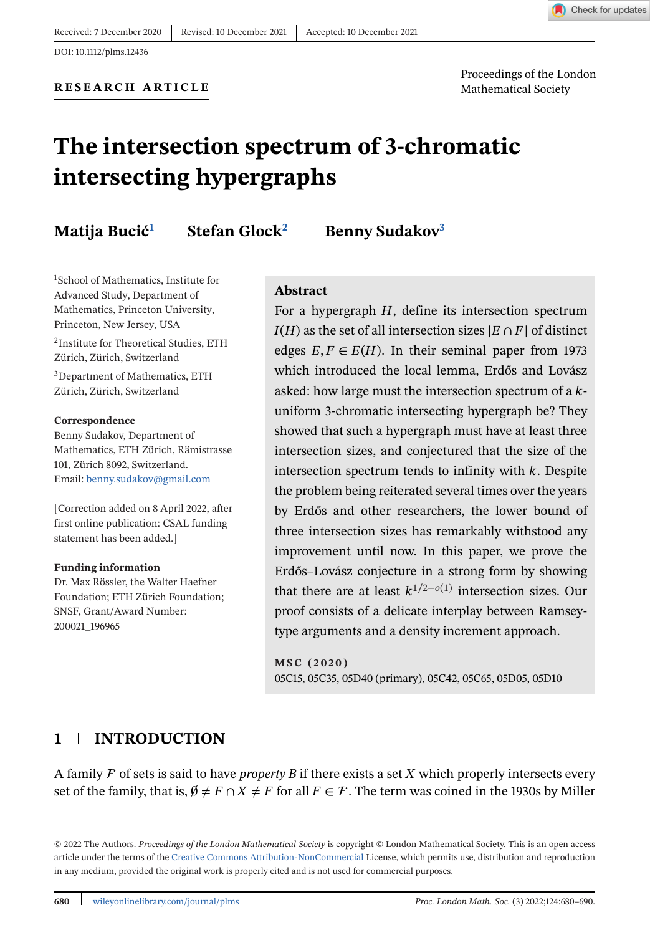

<span id="page-0-0"></span>DOI: 10.1112/plms.12436

Proceedings of the London

# **The intersection spectrum of 3-chromatic intersecting hypergraphs**

**Matija Bucić<sup>1</sup> | Stefan Glock<sup>2</sup> | Benny Sudakov<sup>3</sup>** 

1School of Mathematics, Institute for Advanced Study, Department of Mathematics, Princeton University, Princeton, New Jersey, USA

2Institute for Theoretical Studies, ETH Zürich, Zürich, Switzerland

3Department of Mathematics, ETH Zürich, Zürich, Switzerland

#### **Correspondence**

Benny Sudakov, Department of Mathematics, ETH Zürich, Rämistrasse 101, Zürich 8092, Switzerland. Email: [benny.sudakov@gmail.com](mailto:benny.sudakov@gmail.com)

[Correction added on 8 April 2022, after first online publication: CSAL funding statement has been added.]

#### **Funding information**

Dr. Max Rössler, the Walter Haefner Foundation; ETH Zürich Foundation; SNSF, Grant/Award Number: 200021\_196965

## **Abstract**

For a hypergraph  $H$ , define its intersection spectrum  $I(H)$  as the set of all intersection sizes  $|E \cap F|$  of distinct edges  $E, F \in E(H)$ . In their seminal paper from 1973 which introduced the local lemma, Erdős and Lovász asked: how large must the intersection spectrum of a  $k$ uniform 3-chromatic intersecting hypergraph be? They showed that such a hypergraph must have at least three intersection sizes, and conjectured that the size of the intersection spectrum tends to infinity with  $k$ . Despite the problem being reiterated several times over the years by Erdős and other researchers, the lower bound of three intersection sizes has remarkably withstood any improvement until now. In this paper, we prove the Erdős–Lovász conjecture in a strong form by showing that there are at least  $k^{1/2-o(1)}$  intersection sizes. Our proof consists of a delicate interplay between Ramseytype arguments and a density increment approach.

**MSC (2020)** 05C15, 05C35, 05D40 (primary), 05C42, 05C65, 05D05, 05D10

## **1 INTRODUCTION**

A family  $\mathcal F$  of sets is said to have *property B* if there exists a set  $X$  which properly intersects every set of the family, that is,  $\emptyset \neq F \cap X \neq F$  for all  $F \in \mathcal{F}$ . The term was coined in the 1930s by Miller

© 2022 The Authors. *Proceedings of the London Mathematical Society* is copyright © London Mathematical Society. This is an open access article under the terms of the [Creative Commons Attribution-NonCommercial](http://creativecommons.org/licenses/by-nc/4.0/) License, which permits use, distribution and reproduction in any medium, provided the original work is properly cited and is not used for commercial purposes.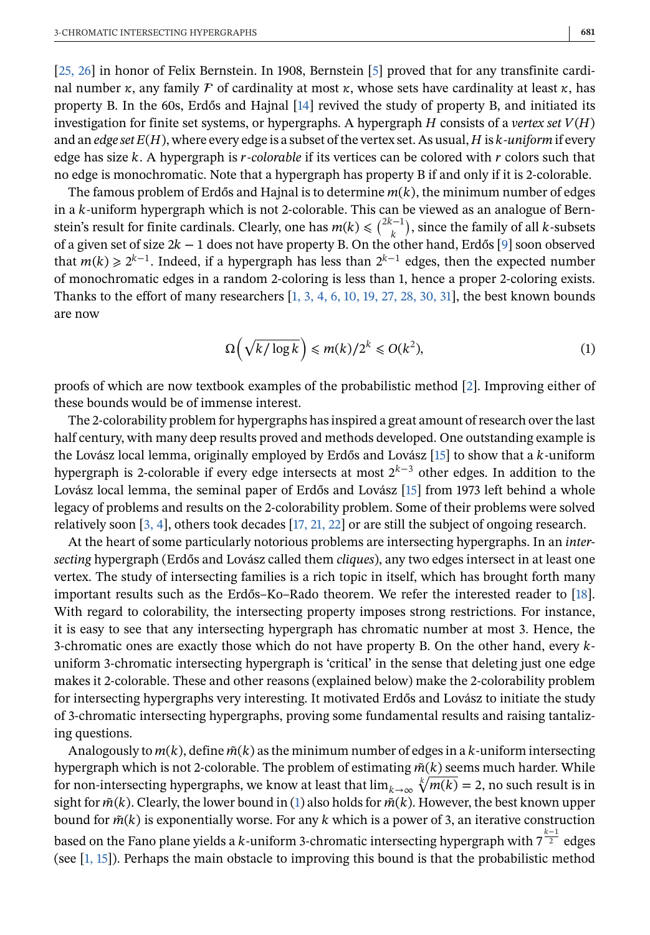[\[25, 26\]](#page-10-0) in honor of Felix Bernstein. In 1908, Bernstein [\[5\]](#page-9-0) proved that for any transfinite cardinal number  $\kappa$ , any family F of cardinality at most  $\kappa$ , whose sets have cardinality at least  $\kappa$ , has property B. In the 60s, Erdős and Hajnal [\[14\]](#page-9-0) revived the study of property B, and initiated its investigation for finite set systems, or hypergraphs. A hypergraph  $H$  consists of a *vertex set*  $V(H)$ and an *edge set*  $E(H)$ , where every edge is a subset of the vertex set. As usual,  $H$  is  $k$ -*uniform* if every edge has size k. A hypergraph is *r*-colorable if its vertices can be colored with r colors such that no edge is monochromatic. Note that a hypergraph has property B if and only if it is 2-colorable.

The famous problem of Erdős and Hajnal is to determine  $m(k)$ , the minimum number of edges in a k-uniform hypergraph which is not 2-colorable. This can be viewed as an analogue of Bernin a k-uniform hypergraph which is not 2-colorable. This can be viewed as an analogue of Bern-<br>stein's result for finite cardinals. Clearly, one has  $m(k) < \binom{2k-1}{k}$  since the family of all k-subsets stein's result for finite cardinals. Clearly, one has  $m(k) \leq {2k-1 \choose k}$ , since the family of all k-subsets of a given set of size  $2k - 1$  does not have property B. On the other hand. Erdős [9] soon observed of a given set of size  $2k - 1$  does not have property B. On the other hand, Erdős [\[9\]](#page-9-0) soon observed<br>that  $m(k) > 2^{k-1}$ , Indeed, if a hypergraph has less than  $2^{k-1}$  edges, then the expected number that  $m(k) \ge 2^{k-1}$ . Indeed, if a hypergraph has less than  $2^{k-1}$  edges, then the expected number of monochromatic edges in a random 2-coloring is less than 1, hence a proper 2-coloring exists. Thanks to the effort of many researchers [\[1, 3, 4, 6, 10, 19, 27, 28, 30, 31\]](#page-9-0), the best known bounds are now

$$
\Omega\left(\sqrt{k/\log k}\right) \le m(k)/2^k \le O(k^2),\tag{1}
$$

proofs of which are now textbook examples of the probabilistic method [\[2\]](#page-9-0). Improving either of these bounds would be of immense interest.

The 2-colorability problem for hypergraphs has inspired a great amount of research over the last half century, with many deep results proved and methods developed. One outstanding example is the Lovász local lemma, originally employed by Erdős and Lovász  $[15]$  to show that a  $k$ -uniform hypergraph is 2-colorable if every edge intersects at most  $2^{k-3}$  other edges. In addition to the Lovász local lemma, the seminal paper of Erdős and Lovász [\[15\]](#page-9-0) from 1973 left behind a whole legacy of problems and results on the 2-colorability problem. Some of their problems were solved relatively soon [\[3, 4\]](#page-9-0), others took decades [\[17, 21, 22\]](#page-9-0) or are still the subject of ongoing research.

At the heart of some particularly notorious problems are intersecting hypergraphs. In an *intersecting* hypergraph (Erdős and Lovász called them *cliques*), any two edges intersect in at least one vertex. The study of intersecting families is a rich topic in itself, which has brought forth many important results such as the Erdős–Ko–Rado theorem. We refer the interested reader to [\[18\]](#page-9-0). With regard to colorability, the intersecting property imposes strong restrictions. For instance, it is easy to see that any intersecting hypergraph has chromatic number at most 3. Hence, the 3-chromatic ones are exactly those which do not have property B. On the other hand, every  $k$ uniform 3-chromatic intersecting hypergraph is 'critical' in the sense that deleting just one edge makes it 2-colorable. These and other reasons (explained below) make the 2-colorability problem for intersecting hypergraphs very interesting. It motivated Erdős and Lovász to initiate the study of 3-chromatic intersecting hypergraphs, proving some fundamental results and raising tantalizing questions.

Analogously to  $m(k)$ , define  $\tilde{m}(k)$  as the minimum number of edges in a k-uniform intersecting hypergraph which is not 2-colorable. The problem of estimating  $\tilde{m}(k)$  seems much harder. While for non-intersecting hypergraphs, we know at least that  $\lim_{k\to\infty} \sqrt[k]{m(k)} = 2$ , no such result is in sight for  $\tilde{m}(k)$ . Clearly, the lower bound in (1) also holds for  $\tilde{m}(k)$ . However, the best known upper bound for  $\tilde{m}(k)$  is exponentially worse. For any k which is a power of 3, an iterative construction based on the Fano plane yields a k-uniform 3-chromatic intersecting hypergraph with  $7^{\frac{1}{2}}$  edges (see  $[1, 15]$ ). Perhaps the main obstacle to improving this bound is that the probabilistic method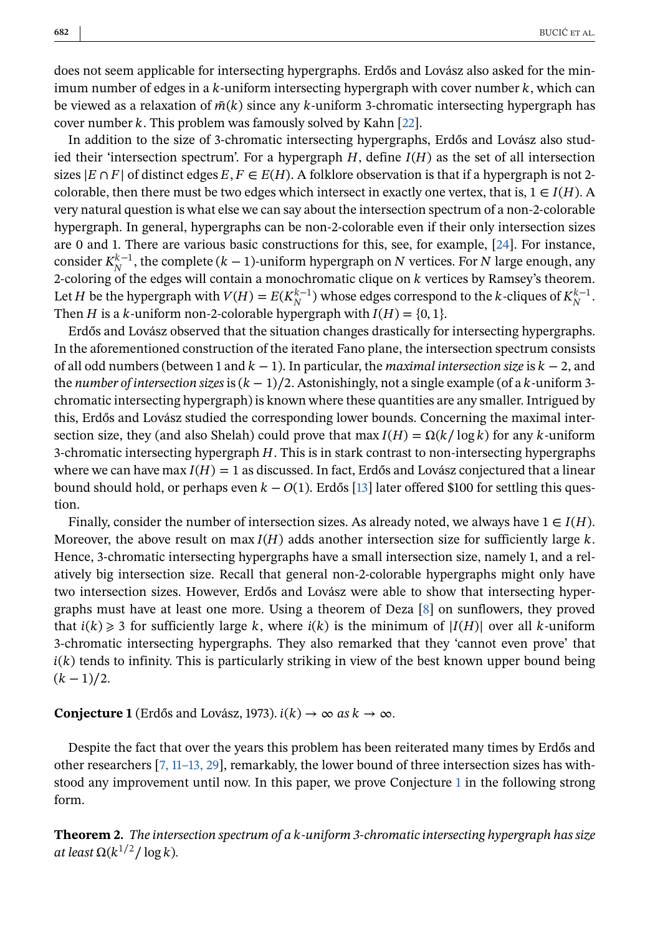<span id="page-2-0"></span>does not seem applicable for intersecting hypergraphs. Erdős and Lovász also asked for the minimum number of edges in a  $k$ -uniform intersecting hypergraph with cover number  $k$ , which can be viewed as a relaxation of  $\tilde{m}(k)$  since any k-uniform 3-chromatic intersecting hypergraph has cover number  $k$ . This problem was famously solved by Kahn [\[22\]](#page-9-0).

In addition to the size of 3-chromatic intersecting hypergraphs, Erdős and Lovász also studied their 'intersection spectrum'. For a hypergraph  $H$ , define  $I(H)$  as the set of all intersection sizes  $|E \cap F|$  of distinct edges  $E, F \in E(H)$ . A folklore observation is that if a hypergraph is not 2colorable, then there must be two edges which intersect in exactly one vertex, that is,  $1 \in I(H)$ . A very natural question is what else we can say about the intersection spectrum of a non-2-colorable hypergraph. In general, hypergraphs can be non-2-colorable even if their only intersection sizes are 0 and 1. There are various basic constructions for this, see, for example, [\[24\]](#page-10-0). For instance, consider  $K_N^{\kappa-1}$ , the complete ( $k-1$ )-uniform hypergraph on  $N$  vertices. For  $N$  large enough, any<br>2-coloring of the edges will contain a monochromatic clique on  $k$  vertices by Ramsey's theorem 2-coloring of the edges will contain a monochromatic clique on  $k$  vertices by Ramsey's theorem. Let H be the hypergraph with  $V(H) = E(K_N^{\kappa-1})$  whose edges correspond to the k-cliques of  $K_N^{\kappa-1}$ .<br>Then H is a k-uniform non-2-colorable hypergraph with  $I(H) = \{0, 1\}$ . Then *H* is a *k*-uniform non-2-colorable hypergraph with  $I(H) = \{0, 1\}$ .

Erdős and Lovász observed that the situation changes drastically for intersecting hypergraphs. In the aforementioned construction of the iterated Fano plane, the intersection spectrum consists of all odd numbers (between 1 and  $k-1$ ). In particular, the *maximal intersection size* is  $k-2$ , and the *number of intersection sizes* is  $(k - 1)/2$ . Astonishingly, not a single example (of a k-uniform 3chromatic intersecting hypergraph) is known where these quantities are any smaller. Intrigued by this, Erdős and Lovász studied the corresponding lower bounds. Concerning the maximal intersection size, they (and also Shelah) could prove that max  $I(H) = \Omega(k/\log k)$  for any k-uniform 3-chromatic intersecting hypergraph  $H$ . This is in stark contrast to non-intersecting hypergraphs where we can have max  $I(H) = 1$  as discussed. In fact, Erdős and Lovász conjectured that a linear bound should hold, or perhaps even  $k - O(1)$ . Erdős [\[13\]](#page-9-0) later offered \$100 for settling this question.

Finally, consider the number of intersection sizes. As already noted, we always have  $1 \in I(H)$ . Moreover, the above result on  $\max I(H)$  adds another intersection size for sufficiently large k. Hence, 3-chromatic intersecting hypergraphs have a small intersection size, namely 1, and a relatively big intersection size. Recall that general non-2-colorable hypergraphs might only have two intersection sizes. However, Erdős and Lovász were able to show that intersecting hypergraphs must have at least one more. Using a theorem of Deza [\[8\]](#page-9-0) on sunflowers, they proved that  $i(k) \geq 3$  for sufficiently large k, where  $i(k)$  is the minimum of  $|I(H)|$  over all k-uniform 3-chromatic intersecting hypergraphs. They also remarked that they 'cannot even prove' that  $i(k)$  tends to infinity. This is particularly striking in view of the best known upper bound being  $(k - 1)/2$ .

**Conjecture 1** (Erdős and Lovász, 1973).  $i(k) \rightarrow \infty$  *as*  $k \rightarrow \infty$ *.* 

Despite the fact that over the years this problem has been reiterated many times by Erdős and other researchers [\[7, 11–13, 29\]](#page-9-0), remarkably, the lower bound of three intersection sizes has withstood any improvement until now. In this paper, we prove Conjecture 1 in the following strong form.

**Theorem 2.** *The intersection spectrum of a -uniform 3-chromatic intersecting hypergraph has size at least*  $\Omega(k^{1/2}/\log k)$ .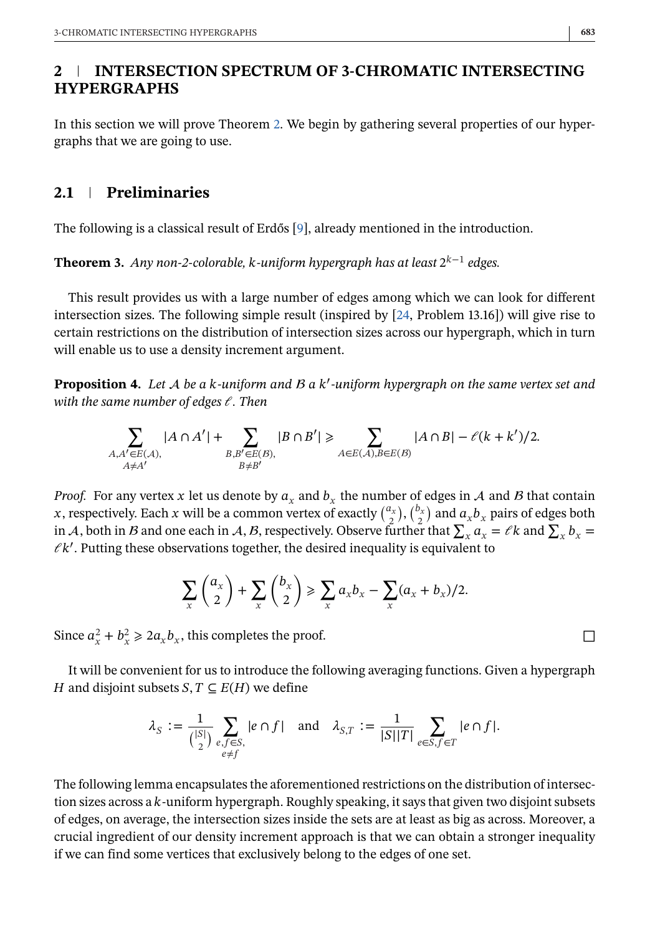## <span id="page-3-0"></span>**2 INTERSECTION SPECTRUM OF 3-CHROMATIC INTERSECTING HYPERGRAPHS**

In this section we will prove Theorem [2.](#page-2-0) We begin by gathering several properties of our hypergraphs that we are going to use.

## **2.1 Preliminaries**

The following is a classical result of Erdős [\[9\]](#page-9-0), already mentioned in the introduction.

**Theorem 3.** *Any non-2-colorable, k*-uniform hypergraph has at least  $2^{k-1}$  edges.

This result provides us with a large number of edges among which we can look for different intersection sizes. The following simple result (inspired by [\[24,](#page-10-0) Problem 13.16]) will give rise to certain restrictions on the distribution of intersection sizes across our hypergraph, which in turn will enable us to use a density increment argument.

**Proposition 4.** Let A be a k-uniform and B a k'-uniform hypergraph on the same vertex set and<br>with the same number of edges L. Then *with the same number of edges*  $\ell$ . Then

$$
\sum_{\substack{A,A'\in E(\mathcal{A}),\\A\neq A'}}|A\cap A'| + \sum_{\substack{B,B'\in E(\mathcal{B}),\\B\neq B'}}|B\cap B'| \ge \sum_{A\in E(\mathcal{A}),B\in E(\mathcal{B})}|A\cap B| - \ell(k+k')/2.
$$

*Proof.* For any vertex x let us denote by  $a_x$  and  $b_x$  the number of edges in A and B that contain x, respectively. Each x will be a common vertex of exactly  $\binom{a_x}{2}$ ,  $\binom{b_x}{2}$  and  $a_xb_x$  pairs of edges both in A hoth in B and one onch in A B respectively. Observe further that  $\sum a_x = ek$  and  $\sum b_x =$ in A, both in B and one each in A, B, respectively. Observe further that  $\sum_{x} a_x = \ell k$  and  $\sum_{x} b_x = \ell k'$  Putting these observations together, the desired inequality is equivalent to  $\ell$ k'. Putting these observations together, the desired inequality is equivalent to

$$
\sum_{x} \binom{a_x}{2} + \sum_{x} \binom{b_x}{2} \ge \sum_{x} a_x b_x - \sum_{x} (a_x + b_x)/2.
$$

Since  $a_x^2 + b_x^2 \ge 2a_x b_x$ , this completes the proof.

It will be convenient for us to introduce the following averaging functions. Given a hypergraph H and disjoint subsets  $S, T \subseteq E(H)$  we define

$$
\lambda_S := \frac{1}{\binom{|S|}{2}} \sum_{\substack{e,f \in S, \\ e \neq f}} |e \cap f| \quad \text{and} \quad \lambda_{S,T} := \frac{1}{|S||T|} \sum_{e \in S, f \in T} |e \cap f|.
$$

The following lemma encapsulates the aforementioned restrictions on the distribution of intersection sizes across a k-uniform hypergraph. Roughly speaking, it says that given two disjoint subsets of edges, on average, the intersection sizes inside the sets are at least as big as across. Moreover, a crucial ingredient of our density increment approach is that we can obtain a stronger inequality if we can find some vertices that exclusively belong to the edges of one set.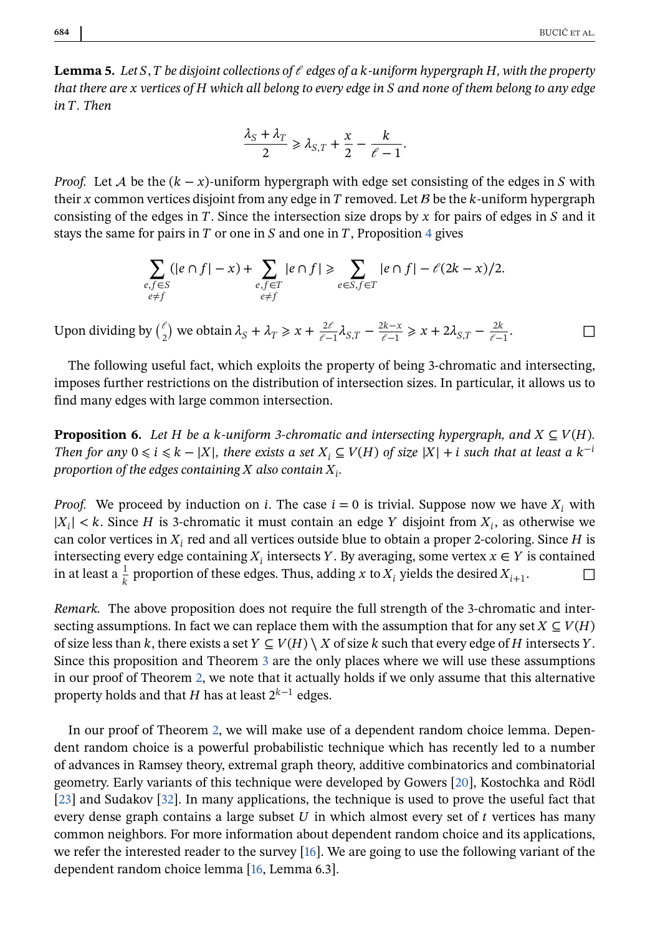<span id="page-4-0"></span>**Lemma 5.** Let S, T be disjoint collections of  $\ell$  edges of a k-uniform hypergraph H, with the property *that there are vertices of which all belong to every edge in and none of them belong to any edge in T. Then* 

$$
\frac{\lambda_S + \lambda_T}{2} \ge \lambda_{S,T} + \frac{x}{2} - \frac{k}{\ell - 1}.
$$

*Proof.* Let A be the  $(k - x)$ -uniform hypergraph with edge set consisting of the edges in S with their x common vertices disjoint from any edge in  $T$  removed. Let  $B$  be the  $k$ -uniform hypergraph consisting of the edges in  $T$ . Since the intersection size drops by  $x$  for pairs of edges in  $S$  and it stays the same for pairs in  $T$  or one in  $S$  and one in  $T$ , Proposition [4](#page-3-0) gives

$$
\sum_{\substack{e,f\in S\\e\neq f}} (|e\cap f|-x)+\sum_{\substack{e,f\in T\\e\neq f}} |e\cap f|\geqslant \sum_{e\in S,f\in T} |e\cap f|-\ell(2k-x)/2.
$$

Upon dividing by  $\binom{\ell}{2}$  we obtain  $\lambda_S + \lambda_T \ge x + \frac{2\ell}{\ell - 1} \lambda_{S,T} - \frac{2k - x}{\ell - 1} \ge x + 2\lambda_{S,T} - \frac{2k}{\ell - 1}$ .

The following useful fact, which exploits the property of being 3-chromatic and intersecting, imposes further restrictions on the distribution of intersection sizes. In particular, it allows us to find many edges with large common intersection.

**Proposition 6.** *Let H be a k-uniform 3-chromatic and intersecting hypergraph, and*  $X \subseteq V(H)$ *. Then for any*  $0 \le i \le k - |X|$ , there exists a set  $X_i \subseteq V(H)$  of size  $|X| + i$  such that at least a  $k^{-i}$ *proportion of the edges containing*  $X$  also contain  $X_i$ .

*Proof.* We proceed by induction on *i*. The case  $i = 0$  is trivial. Suppose now we have  $X_i$  with  $|X_i| < k$ . Since H is 3-chromatic it must contain an edge Y disjoint from  $X_i$ , as otherwise we can color vertices in  $X_i$  red and all vertices outside blue to obtain a proper 2-coloring. Since  $H$  is intersecting every edge containing  $X_i$  intersects Y. By averaging, some vertex  $x \in Y$  is contained in at least a  $\frac{1}{k}$  proportion of these edges. Thus, adding x to  $X_i$  yields the desired  $X_{i+1}$ . □ in at least a  $\frac{1}{k}$  proportion of these edges. Thus, adding x to  $X_i$  yields the desired  $X_{i+1}$ .

*Remark.* The above proposition does not require the full strength of the 3-chromatic and intersecting assumptions. In fact we can replace them with the assumption that for any set  $X \subseteq V(H)$ of size less than k, there exists a set  $Y \subseteq V(H) \setminus X$  of size k such that every edge of H intersects Y. Since this proposition and Theorem [3](#page-3-0) are the only places where we will use these assumptions in our proof of Theorem [2,](#page-2-0) we note that it actually holds if we only assume that this alternative property holds and that  $H$  has at least  $2^{k-1}$  edges.

In our proof of Theorem [2,](#page-2-0) we will make use of a dependent random choice lemma. Dependent random choice is a powerful probabilistic technique which has recently led to a number of advances in Ramsey theory, extremal graph theory, additive combinatorics and combinatorial geometry. Early variants of this technique were developed by Gowers [\[20\]](#page-9-0), Kostochka and Rödl [\[23\]](#page-9-0) and Sudakov [\[32\]](#page-10-0). In many applications, the technique is used to prove the useful fact that every dense graph contains a large subset  $U$  in which almost every set of  $t$  vertices has many common neighbors. For more information about dependent random choice and its applications, we refer the interested reader to the survey  $[16]$ . We are going to use the following variant of the dependent random choice lemma [\[16,](#page-9-0) Lemma 6.3].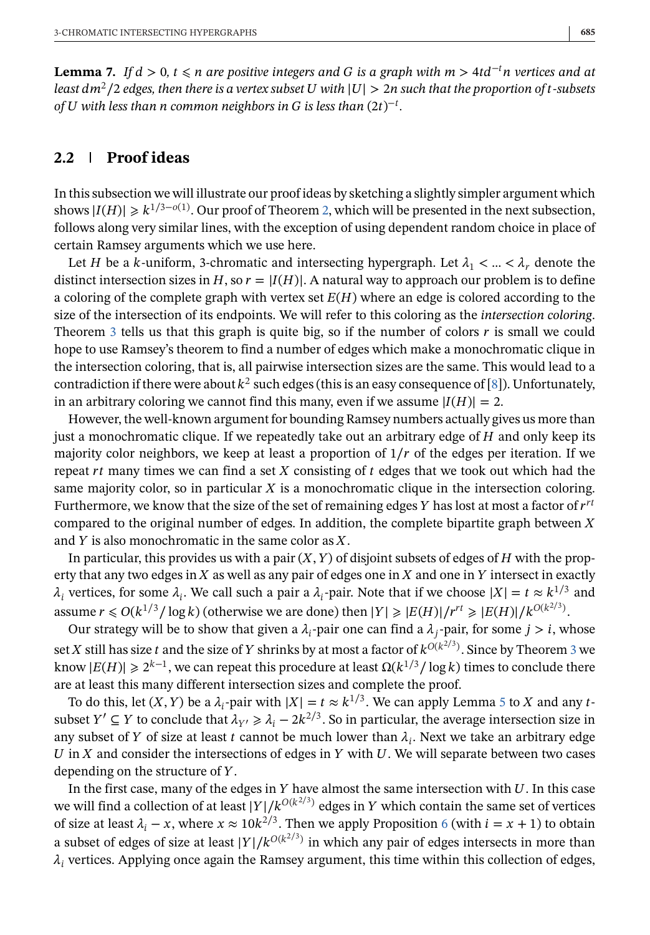<span id="page-5-0"></span>**Lemma 7.** *If*  $d > 0$ ,  $t \le n$  are positive integers and G is a graph with  $m > 4td^{-t}n$  vertices and at *least*  $dm^2/2$  *edges, then there is a vertex subset* U with  $|U| > 2n$  such that the proportion of t-subsets *of with less than*  $*n*$  *common neighbors in*  $*G*$  *is less than*  $(2t)^{-t}$ *.* 

# **2.2 Proof ideas**

In this subsection we will illustrate our proof ideas by sketching a slightly simpler argument which shows  $|I(H)| \ge k^{1/3-o(1)}$ . Our proof of Theorem [2,](#page-2-0) which will be presented in the next subsection, follows along very similar lines, with the exception of using dependent random choice in place of certain Ramsey arguments which we use here.

Let *H* be a *k*-uniform, 3-chromatic and intersecting hypergraph. Let  $\lambda_1 < ... < \lambda_r$  denote the distinct intersection sizes in H, so  $r = |I(H)|$ . A natural way to approach our problem is to define a coloring of the complete graph with vertex set  $E(H)$  where an edge is colored according to the size of the intersection of its endpoints. We will refer to this coloring as the *intersection coloring*. Theorem [3](#page-3-0) tells us that this graph is quite big, so if the number of colors  $\boldsymbol{r}$  is small we could hope to use Ramsey's theorem to find a number of edges which make a monochromatic clique in the intersection coloring, that is, all pairwise intersection sizes are the same. This would lead to a contradiction if there were about  $k^2$  such edges (this is an easy consequence of [\[8\]](#page-9-0)). Unfortunately, in an arbitrary coloring we cannot find this many, even if we assume  $|I(H)| = 2$ .

However, the well-known argument for bounding Ramsey numbers actually gives us more than just a monochromatic clique. If we repeatedly take out an arbitrary edge of  $H$  and only keep its majority color neighbors, we keep at least a proportion of  $1/r$  of the edges per iteration. If we repeat  $rt$  many times we can find a set  $X$  consisting of  $t$  edges that we took out which had the same majority color, so in particular  $X$  is a monochromatic clique in the intersection coloring. Furthermore, we know that the size of the set of remaining edges Y has lost at most a factor of  $r^{rt}$ compared to the original number of edges. In addition, the complete bipartite graph between  $X$ and  $Y$  is also monochromatic in the same color as  $X$ .

In particular, this provides us with a pair  $(X, Y)$  of disjoint subsets of edges of H with the property that any two edges in  $X$  as well as any pair of edges one in  $X$  and one in  $Y$  intersect in exactly  $\lambda_i$  vertices, for some  $\lambda_i$ . We call such a pair a  $\lambda_i$ -pair. Note that if we choose  $|X| = t \approx k^{1/3}$  and assume  $r \le O(k^{1/3} / \log k)$  (otherwise we are done) then  $|Y| \ge |E(H)|/r^{rt} \ge |E(H)|/k^{O(K^{2/3})}$ .<br>Our strategy will be to show that given a l pair one can find a l, pair for some  $i > i$  wi

Our strategy will be to show that given a  $\lambda_i$ -pair one can find a  $\lambda_i$ -pair, for some  $j > i$ , whose set X still has size *t* and the size of *Y* shrinks by at most a factor of  $k^{O(K^2/3)}$  $k^{O(K^2/3)}$  $k^{O(K^2/3)}$ . Since by Theorem 3 we<br>know  $|E(H)| \ge 2^{k-1}$ , we can repeat this precedure at least  $O(k^{1/3}/\log k)$  times to conclude there know  $|E(H)| \ge 2^{k-1}$ , we can repeat this procedure at least  $\Omega(k^{1/3}/\log k)$  times to conclude there are at least this many different intersection sizes and complete the proof.

To do this, let  $(X, Y)$  be a  $\lambda_i$ -pair with  $|X| = t \approx k^{1/3}$ . We can apply Lemma [5](#page-4-0) to X and any tsubset  $Y' \subseteq Y$  to conclude that  $\lambda_{Y'} \ge \lambda_i - 2k^{2/3}$ . So in particular, the average intersection size in any subset of Y of size at least t cannot be much lower than  $\lambda_i$ . Next we take an arbitrary edge  $U$  in  $X$  and consider the intersections of edges in  $Y$  with  $U$ . We will separate between two cases depending on the structure of  $Y$ .

In the first case, many of the edges in  $Y$  have almost the same intersection with  $U$ . In this case we will find a collection of at least  $|Y|/k^{O(k^{2/3})}$  edges in Y which contain the same set of vertices of size at least  $\lambda_i - x$ , where  $x \approx 10k^{2/3}$ . Then we apply Proposition [6](#page-4-0) (with  $i = x + 1$ ) to obtain a subset of edges of size at least  $|Y|/k^{O(k^{2/3})}$  in which any pair of edges intersects in more than  $\lambda_i$  vertices. Applying once again the Ramsey argument, this time within this collection of edges,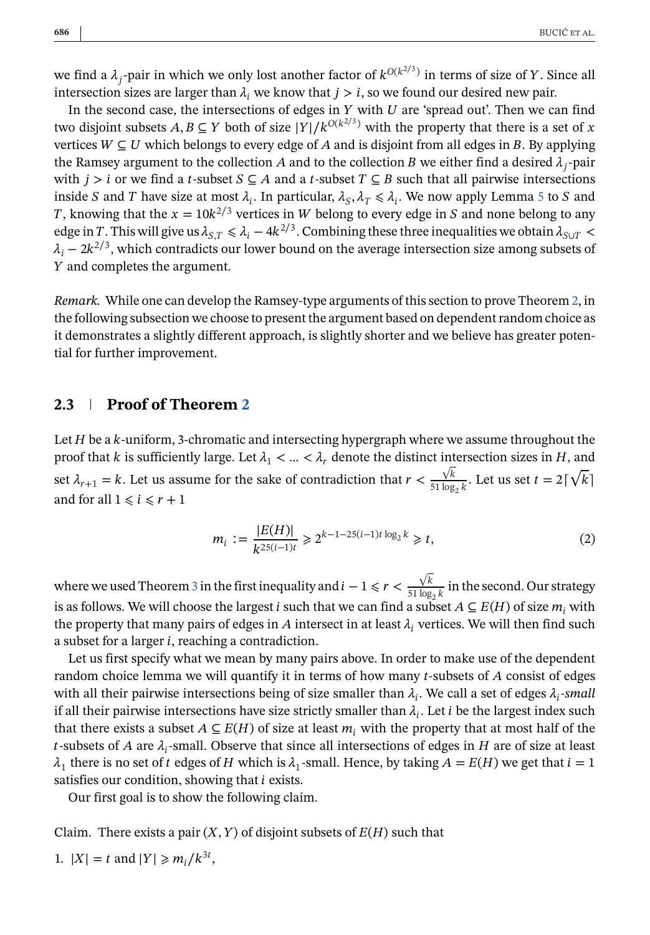<span id="page-6-0"></span>we find a  $\lambda_i$ -pair in which we only lost another factor of  $k^{O(k^{2/3})}$  in terms of size of Y. Since all intersection sizes are larger than  $\lambda_i$ , we know that  $j > i$ , so we found our desired new pair.

In the second case, the intersections of edges in  $Y$  with  $U$  are 'spread out'. Then we can find two disjoint subsets  $A, B \subseteq Y$  both of size  $|Y|/k^{O(k^{2/3})}$  with the property that there is a set of x vertices  $W \subseteq U$  which belongs to every edge of A and is disjoint from all edges in B. By applying the Ramsey argument to the collection A and to the collection B we either find a desired  $\lambda_i$ -pair with  $j > i$  or we find a t-subset  $S \subseteq A$  and a t-subset  $T \subseteq B$  such that all pairwise intersections inside S and T have size at most  $\lambda_i$ . In particular,  $\lambda_s$ ,  $\lambda_\tau \leq \lambda_i$ . We now apply Lemma [5](#page-4-0) to S and T, knowing that the  $x = 10k^{2/3}$  vertices in W belong to every edge in S and none belong to any edge in T. This will give us  $\lambda_{S,T} \le \lambda_i - 4k^{2/3}$ . Combining these three inequalities we obtain  $\lambda_{SUT}$  $\lambda_i - 2k^{2/3}$ , which contradicts our lower bound on the average intersection size among subsets of Y and completes the argument.

*Remark.* While one can develop the Ramsey-type arguments of this section to prove Theorem [2,](#page-2-0) in the following subsection we choose to present the argument based on dependent random choice as it demonstrates a slightly different approach, is slightly shorter and we believe has greater potential for further improvement.

## **2.3 Proof of Theorem [2](#page-2-0)**

Let  $H$  be a  $k$ -uniform, 3-chromatic and intersecting hypergraph where we assume throughout the proof that k is sufficiently large. Let  $\lambda_1 < ... < \lambda_r$  denote the distinct intersection sizes in H, and set  $\lambda_{r+1} = k$ . Let us assume for the sake of contradiction that  $r < \frac{\sqrt{}}{51 \text{ log}}$  $\frac{\sqrt{k}}{51 \log_2 k}$ . Let us set  $t = 2\lceil \sqrt{\frac{k}{k}} \rceil$  $\sim$   $\overline{a}$ and for all  $1 \leq i \leq r + 1$ 

$$
m_i := \frac{|E(H)|}{k^{25(i-1)t}} \ge 2^{k-1-25(i-1)t \log_2 k} \ge t,
$$
\n(2)

where we used Theorem [3](#page-3-0) in the first inequality and  $i - 1 \le r < \frac{\sqrt{3}}{51 \text{ lb}}$  $\frac{V}{51 \log_2 k}$  in the second. Our strategy<br>a subset  $A \subseteq E(H)$  of size m, with is as follows. We will choose the largest *i* such that we can find a subset  $A \subseteq E(H)$  of size  $m_i$  with the property that many pairs of edges in A intersect in at least  $\lambda_i$  vertices. We will then find such a subset for a larger  $i$ , reaching a contradiction.

Let us first specify what we mean by many pairs above. In order to make use of the dependent random choice lemma we will quantify it in terms of how many  $t$ -subsets of  $A$  consist of edges with all their pairwise intersections being of size smaller than  $\lambda_i$ . We call a set of edges  $\lambda_i$ -small if all their pairwise intersections have size strictly smaller than  $\lambda_i$ . Let *i* be the largest index such that there exists a subset  $A \subseteq E(H)$  of size at least  $m_i$  with the property that at most half of the t-subsets of A are  $\lambda_i$ -small. Observe that since all intersections of edges in H are of size at least  $\lambda_1$  there is no set of t edges of H which is  $\lambda_1$ -small. Hence, by taking  $A = E(H)$  we get that  $i = 1$ satisfies our condition, showing that  $i$  exists.

Our first goal is to show the following claim.

Claim. There exists a pair  $(X, Y)$  of disjoint subsets of  $E(H)$  such that

1. 
$$
|X| = t
$$
 and  $|Y| \geq m_i / k^{3t}$ ,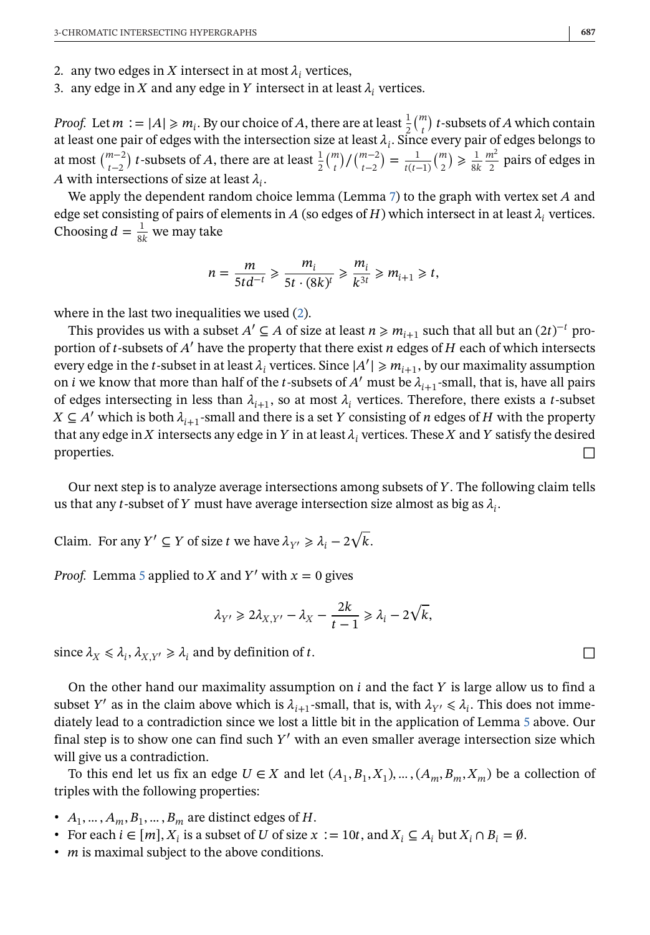- 2. any two edges in X intersect in at most  $\lambda_i$  vertices,
- 3. any edge in X and any edge in Y intersect in at least  $\lambda_i$  vertices.

*Proof.* Let  $m := |A| \ge m_i$ . By our choice of A, there are at least  $\frac{1}{2} {m \choose i} t$ -subsets of A which contain at least one pair of edges with the intersection size at least  $\lambda$ . Since every pair of edges belongs to at least one pair of edges with the intersection size at least  $\lambda_i$ . Since every pair of edges belongs to at most  $\binom{m-2}{t-2}$  *t*-subsets of *A*, there are at least  $\frac{1}{2} \binom{m}{t} / \binom{m-2}{t-2} = \frac{1}{t(t-1)} \binom{m}{2} \ge \frac$ A with intersections of size at least  $\lambda_i$ .<br>We apply the dependent random ch  $\binom{m}{t}$ )  $\frac{m-2}{t-2}$  $=$  $\frac{1}{t(t-1)}$  $\binom{m}{2}$  $\frac{1}{8k}$  $\frac{m}{2}$  pairs of edges in

We apply the dependent random choice lemma (Lemma [7\)](#page-5-0) to the graph with vertex set  $A$  and edge set consisting of pairs of elements in A (so edges of H) which intersect in at least  $\lambda_i$  vertices. Choosing  $d = \frac{1}{8k}$  we may take

$$
n = \frac{m}{5td^{-t}} \geqslant \frac{m_i}{5t \cdot (8k)^t} \geqslant \frac{m_i}{k^{3t}} \geqslant m_{i+1} \geqslant t,
$$

where in the last two inequalities we used  $(2)$ .

This provides us with a subset  $A' \subseteq A$  of size at least  $n \ge m_{i+1}$  such that all but an  $(2t)^{-t}$  proportion of  $t$ -subsets of  $A'$  have the property that there exist  $n$  edges of  $H$  each of which intersects every edge in the t-subset in at least  $\lambda_i$  vertices. Since  $|A'| \ge m_{i+1}$ , by our maximality assumption<br>on i we know that more than half of the t-subsets of  $A'$  must be  $\lambda$  --small, that is, have all nairs on *i* we know that more than half of the *t*-subsets of  $A'$  must be  $\lambda_{i+1}$ -small, that is, have all pairs of edges intersecting in less than  $\lambda_{i+1}$ , so at most  $\lambda_i$  vertices. Therefore, there exists a *t*-subset  $X \subseteq A'$  which is both  $\lambda_{i+1}$ -small and there is a set Y consisting of *n* edges of *H* with the property that any edge in *X* intersects any edge in *Y* in at least  $\lambda_i$  vertices. These *X* and *Y* satisfy the desired properties. properties.  $\Box$ 

Our next step is to analyze average intersections among subsets of Y. The following claim tells us that any *t*-subset of Y must have average intersection size almost as big as  $\lambda_i$ .

Claim. For any  $Y' \subseteq Y$  of size *t* we have  $\lambda_{Y'} \ge \lambda_i - 2\sqrt{k}$ .

*Proof.* Lemma [5](#page-4-0) applied to X and Y' with  $x = 0$  gives

$$
\lambda_{Y'} \geq 2\lambda_{X,Y'} - \lambda_X - \frac{2k}{t-1} \geq \lambda_i - 2\sqrt{k},
$$

since  $\lambda_X \le \lambda_i$ ,  $\lambda_{X,Y'} \ge \lambda_i$  and by definition of t.

On the other hand our maximality assumption on  $i$  and the fact  $Y$  is large allow us to find a subset Y' as in the claim above which is  $\lambda_{i+1}$ -small, that is, with  $\lambda_{Y'} \leq \lambda_i$ . This does not immediately lead to a contradiction since we lost a little bit in the application of Lemma [5](#page-4-0) above. Our final step is to show one can find such  $Y'$  with an even smaller average intersection size which will give us a contradiction.

To this end let us fix an edge  $U \in X$  and let  $(A_1, B_1, X_1), \dots, (A_m, B_m, X_m)$  be a collection of triples with the following properties:

- $A_1, \ldots, A_m, B_1, \ldots, B_m$  are distinct edges of H.
- For each  $i \in [m]$ ,  $X_i$  is a subset of U of size  $x := 10t$ , and  $X_i \subseteq A_i$  but  $X_i \cap B_i = \emptyset$ .
- *m* is maximal subject to the above conditions.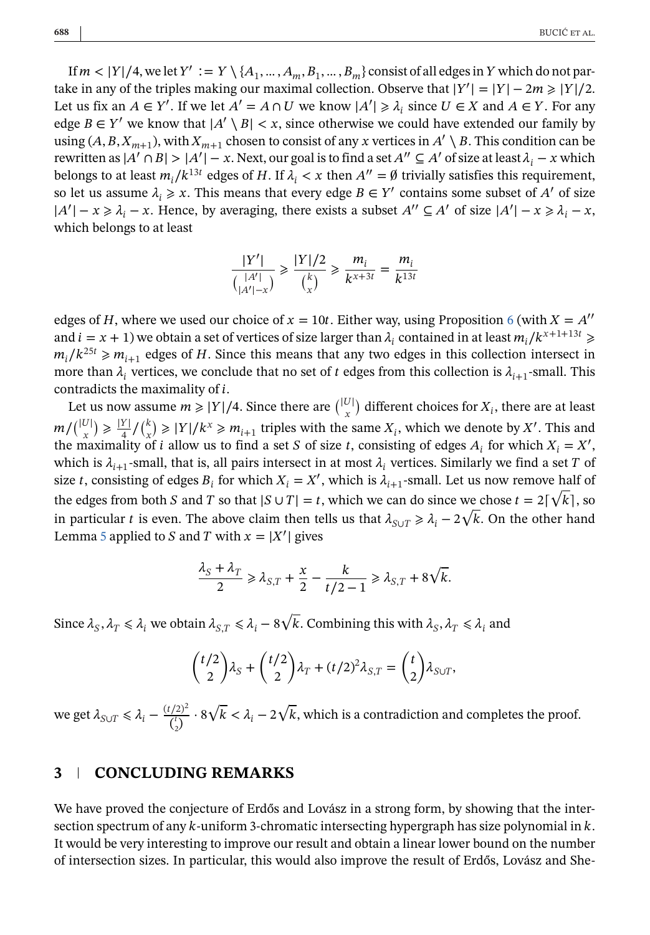If  $m < |Y|/4$ , we let  $Y' := Y \setminus \{A_1, ..., A_m, B_1, ..., B_m\}$  consist of all edges in Y which do not partake in any of the triples making our maximal collection. Observe that  $|Y'| = |Y| - 2m \ge |Y|/2$ .<br>Let us fix an  $A \in Y'$ , If we let  $A' = A \cap U$  we know  $|A'| > \lambda$ , since  $U \in X$  and  $A \in Y$ . For any Let us fix an  $A \in Y'$ . If we let  $A' = A \cap U$  we know  $|A'| \geq \lambda_i$  since  $U \in X$  and  $A \in Y$ . For any  $\lambda_i$  and  $A \in Y'$  we know that  $|A'| \geq \lambda_i$  since otherwise we could have extended our family by edge  $B \in Y'$  we know that  $|A' \setminus B| < x$ , since otherwise we could have extended our family by using  $(A, B, X_{m+1})$ , with  $X_{m+1}$  chosen to consist of any x vertices in  $A' \setminus B$ . This condition can be rewritten as  $|A' \cap B| > |A'| - x$ . Next, our goal is to find a set  $A'' \subseteq A'$  of size at least  $\lambda_i - x$  which<br>belongs to at least m  $/k^{13t}$  edges of H, If  $\lambda_i \leq x$  then  $A'' = \emptyset$  trivially satisfies this requirement belongs to at least  $m_i/k^{13t}$  edges of H. If  $\lambda_i < x$  then  $A'' = \emptyset$  trivially satisfies this requirement, so let us assume  $\lambda_i \geq x$ . This means that every edge  $B \in Y'$  contains some subset of A' of size  $|A| = x \geq a_i - x$ . Thence<br>which belongs to at least  $|-x \ge \lambda_i - x$ . Hence, by averaging, there exists a subset  $A'' \subseteq A'$  of size  $|A'| - x \ge \lambda_i - x$ , ich belongs to at least

$$
\frac{|Y'|}{\binom{|A'|}{|A'|-x}} \ge \frac{|Y|/2}{\binom{k}{x}} \ge \frac{m_i}{k^{x+3t}} = \frac{m_i}{k^{13t}}
$$

edges of H, where we used our choice of  $x = 10t$ . Either way, using Proposition [6](#page-4-0) (with  $X = A''$ and  $i = x + 1$ ) we obtain a set of vertices of size larger than  $\lambda_i$  contained in at least  $m_i/k^{x+1+13i} \geq$  $m_i/k^{25t} \ge m_{i+1}$  edges of H. Since this means that any two edges in this collection intersect in more than  $\lambda_i$  vertices, we conclude that no set of t edges from this collection is  $\lambda_{i+1}$ -small. This contradicts the maximality of *i*.

Let us now assume  $m \ge |Y|/4$ . Since there are  $\binom{|U|}{x}$  different choices for  $X_i$ , there are at least  $m/(|U|) \ge \frac{|Y|}{4} / {k \choose x} \ge |Y| / k^x \ge m_{i+1}$  triples with the same  $X_i$ , which we denote by X'. This and the maximality of i allow us to find a set S of size t, consisting of edges A, for which  $Y = Y'$ . the maximality of *i* allow us to find a set *S* of size *t*, consisting of edges  $A_i$  for which  $X_i = X'$ , which is  $\lambda_{i+1}$ -small, that is, all pairs intersect in at most  $\lambda_i$  vertices. Similarly we find a set T of size t, consisting of edges  $B_i$  for which  $X_i = X'$ , which is  $\lambda_{i+1}$ -small. Let us now remove half of the edges from both *S* and *T* so that  $|S \cup T| = t$ , which we can do since we chose  $t = 2\lceil \sqrt{k} \rceil$ , so in particular t is even. The above abim than talk us that  $\lambda = 2\sqrt{k}$ . On the athen hand in particular *t* is even. The above claim then tells us that  $\lambda_{S \cup T} \ge \lambda_i - 2\sqrt{k}$ . On the other hand Lemma [5](#page-4-0) applied to *S* and *T* with  $x = |X'|$  gives

$$
\frac{\lambda_S + \lambda_T}{2} \ge \lambda_{S,T} + \frac{x}{2} - \frac{k}{t/2 - 1} \ge \lambda_{S,T} + 8\sqrt{k}.
$$

Since  $\lambda_S, \lambda_T \le \lambda_i$  we obtain  $\lambda_{S,T} \le \lambda_i - 8\sqrt{k}$ . Combining this with  $\lambda_S, \lambda_T \le \lambda_i$  and

$$
\binom{t/2}{2}\lambda_S + \binom{t/2}{2}\lambda_T + (t/2)^2\lambda_{S,T} = \binom{t}{2}\lambda_{S\cup T},
$$

we get  $\lambda_{S\cup T} \leq \lambda_i - \frac{(1/2)}{\binom{t}{2}}$  $\overline{a}$  $\frac{d^2(2)^2}{d_1} \cdot 8\sqrt{k} < \lambda_i - 2\sqrt{k}$ , which is a contradiction and completes the proof.

### **3 CONCLUDING REMARKS**

We have proved the conjecture of Erdős and Lovász in a strong form, by showing that the intersection spectrum of any  $k$ -uniform 3-chromatic intersecting hypergraph has size polynomial in  $k$ . It would be very interesting to improve our result and obtain a linear lower bound on the number of intersection sizes. In particular, this would also improve the result of Erdős, Lovász and She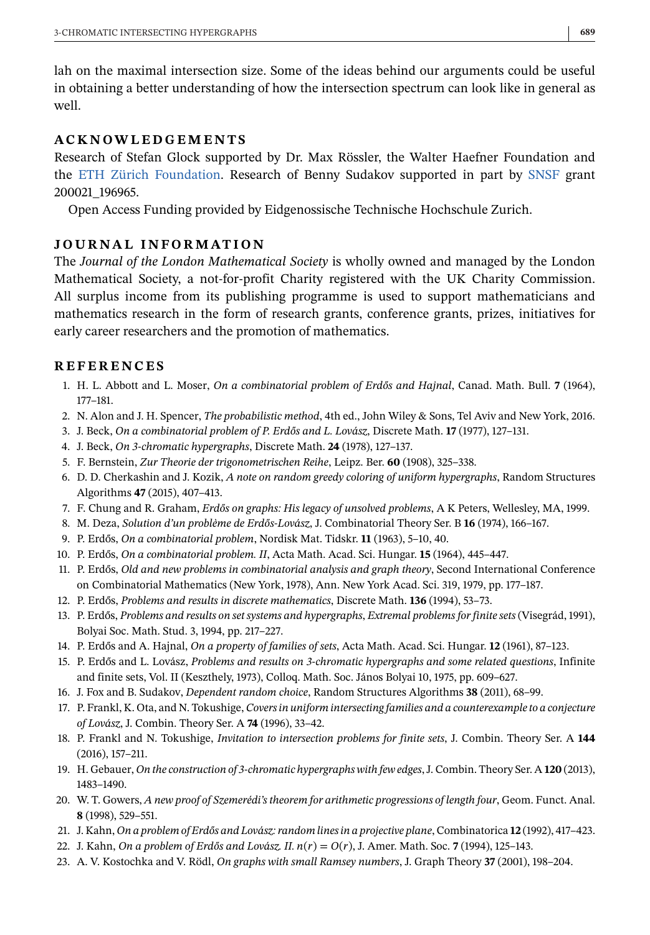<span id="page-9-0"></span>lah on the maximal intersection size. Some of the ideas behind our arguments could be useful in obtaining a better understanding of how the intersection spectrum can look like in general as well.

## **ACKNOWLEDGEMENTS**

Research of Stefan Glock supported by Dr. Max Rössler, the Walter Haefner Foundation and the [ETH Zürich Foundation.](#page-0-0) Research of Benny Sudakov supported in part by [SNSF](#page-0-0) grant 200021 196965.

\_196965.<br>n Access Open Access Funding provided by Eidgenossische Technische Hochschule Zurich.

## **JOURNAL INFORMATION**

The *Journal of the London Mathematical Society* is wholly owned and managed by the London Mathematical Society, a not-for-profit Charity registered with the UK Charity Commission. All surplus income from its publishing programme is used to support mathematicians and mathematics research in the form of research grants, conference grants, prizes, initiatives for early career researchers and the promotion of mathematics.

## **REFERENCES**

- 1. H. L. Abbott and L. Moser, *On a combinatorial problem of Erdős and Hajnal*, Canad. Math. Bull. **7** (1964), 177–181.
- 2. N. Alon and J. H. Spencer, *The probabilistic method*, 4th ed., John Wiley & Sons, Tel Aviv and New York, 2016.
- 3. J. Beck, *On a combinatorial problem of P. Erdős and L. Lovász*, Discrete Math. **17** (1977), 127–131.
- 4. J. Beck, *On 3-chromatic hypergraphs*, Discrete Math. **24** (1978), 127–137.
- 5. F. Bernstein, *Zur Theorie der trigonometrischen Reihe*, Leipz. Ber. **60** (1908), 325–338.
- 6. D. D. Cherkashin and J. Kozik, *A note on random greedy coloring of uniform hypergraphs*, Random Structures Algorithms **47** (2015), 407–413.
- 7. F. Chung and R. Graham, *Erdős on graphs: His legacy of unsolved problems*, A K Peters, Wellesley, MA, 1999.
- 8. M. Deza, *Solution d'un problème de Erdős-Lovász*, J. Combinatorial Theory Ser. B **16** (1974), 166–167.
- 9. P. Erdős, *On a combinatorial problem*, Nordisk Mat. Tidskr. **11** (1963), 5–10, 40.
- 10. P. Erdős, *On a combinatorial problem. II*, Acta Math. Acad. Sci. Hungar. **15** (1964), 445–447.
- 11. P. Erdős, *Old and new problems in combinatorial analysis and graph theory*, Second International Conference on Combinatorial Mathematics (New York, 1978), Ann. New York Acad. Sci. 319, 1979, pp. 177–187.
- 12. P. Erdős, *Problems and results in discrete mathematics*, Discrete Math. **136** (1994), 53–73.
- 13. P. Erdős, *Problems and results on set systems and hypergraphs*, *Extremal problems for finite sets* (Visegrád, 1991), Bolyai Soc. Math. Stud. 3, 1994, pp. 217–227.
- 14. P. Erdős and A. Hajnal, *On a property of families of sets*, Acta Math. Acad. Sci. Hungar. **12** (1961), 87–123.
- 15. P. Erdős and L. Lovász, *Problems and results on 3-chromatic hypergraphs and some related questions*, Infinite and finite sets, Vol. II (Keszthely, 1973), Colloq. Math. Soc. János Bolyai 10, 1975, pp. 609–627.
- 16. J. Fox and B. Sudakov, *Dependent random choice*, Random Structures Algorithms **38** (2011), 68–99.
- 17. P. Frankl, K. Ota, and N. Tokushige, *Covers in uniform intersecting families and a counterexample to a conjecture of Lovász*, J. Combin. Theory Ser. A **74** (1996), 33–42.
- 18. P. Frankl and N. Tokushige, *Invitation to intersection problems for finite sets*, J. Combin. Theory Ser. A **144** (2016), 157–211.
- 19. H. Gebauer, *On the construction of 3-chromatic hypergraphs with few edges*, J. Combin. Theory Ser. A **120** (2013), 1483–1490.
- 20. W. T. Gowers, *A new proof of Szemerédi's theorem for arithmetic progressions of length four*, Geom. Funct. Anal. **8** (1998), 529–551.
- 21. J. Kahn, *On a problem of Erdős and Lovász: random lines in a projective plane*, Combinatorica **12** (1992), 417–423.
- 22. J. Kahn, *On a problem of Erdős and Lovász. II.*  $n(r) = O(r)$ *, J. Amer. Math. Soc. 7 (1994), 125–143.*
- 23. A. V. Kostochka and V. Rödl, *On graphs with small Ramsey numbers*, J. Graph Theory **37** (2001), 198–204.